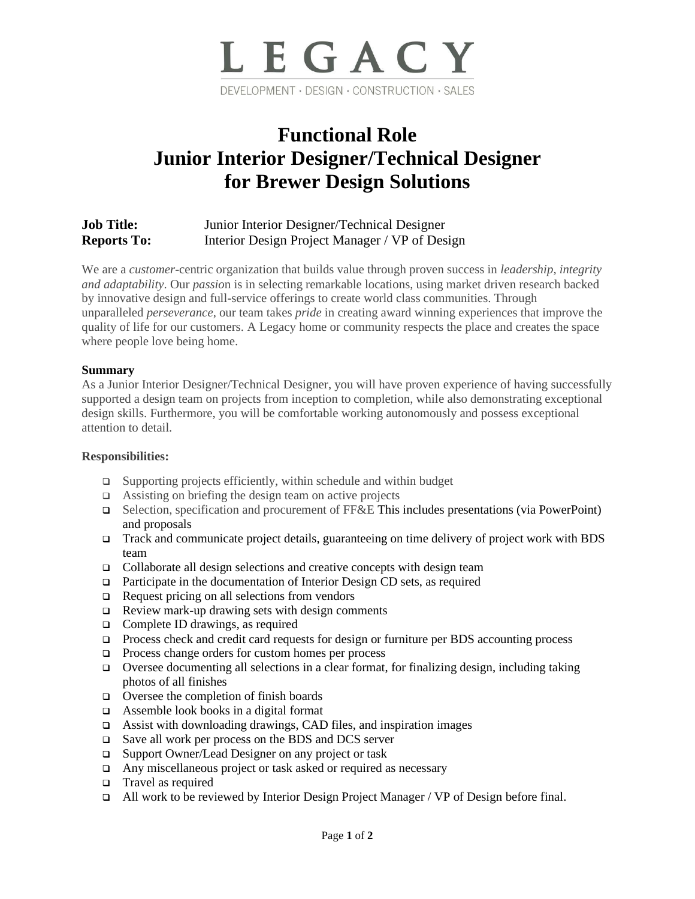

# **Functional Role Junior Interior Designer/Technical Designer for Brewer Design Solutions**

# **Job Title:** Junior Interior Designer/Technical Designer **Reports To:** Interior Design Project Manager / VP of Design

We are a *customer*-centric organization that builds value through proven success in *leadership, integrity and adaptability*. Our *passio*n is in selecting remarkable locations, using market driven research backed by innovative design and full-service offerings to create world class communities. Through unparalleled *perseverance,* our team takes *pride* in creating award winning experiences that improve the quality of life for our customers. A Legacy home or community respects the place and creates the space where people love being home.

## **Summary**

As a Junior Interior Designer/Technical Designer, you will have proven experience of having successfully supported a design team on projects from inception to completion, while also demonstrating exceptional design skills. Furthermore, you will be comfortable working autonomously and possess exceptional attention to detail.

## **Responsibilities:**

- ❑ Supporting projects efficiently, within schedule and within budget
- ❑ Assisting on briefing the design team on active projects
- ❑ Selection, specification and procurement of FF&E This includes presentations (via PowerPoint) and proposals
- ❑ Track and communicate project details, guaranteeing on time delivery of project work with BDS team
- ❑ Collaborate all design selections and creative concepts with design team
- ❑ Participate in the documentation of Interior Design CD sets, as required
- ❑ Request pricing on all selections from vendors
- ❑ Review mark-up drawing sets with design comments
- ❑ Complete ID drawings, as required
- ❑ Process check and credit card requests for design or furniture per BDS accounting process
- ❑ Process change orders for custom homes per process
- ❑ Oversee documenting all selections in a clear format, for finalizing design, including taking photos of all finishes
- ❑ Oversee the completion of finish boards
- ❑ Assemble look books in a digital format
- ❑ Assist with downloading drawings, CAD files, and inspiration images
- ❑ Save all work per process on the BDS and DCS server
- ❑ Support Owner/Lead Designer on any project or task
- ❑ Any miscellaneous project or task asked or required as necessary
- ❑ Travel as required
- ❑ All work to be reviewed by Interior Design Project Manager / VP of Design before final.